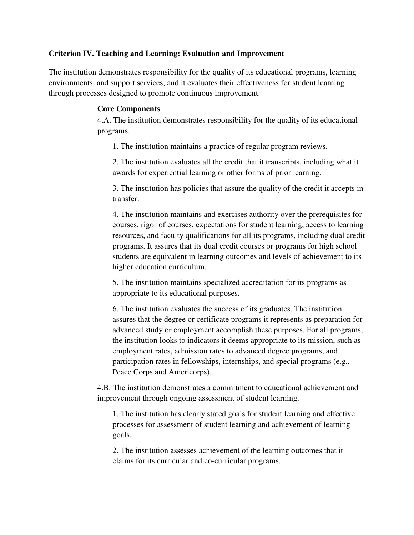## **Criterion IV. Teaching and Learning: Evaluation and Improvement**

The institution demonstrates responsibility for the quality of its educational programs, learning environments, and support services, and it evaluates their effectiveness for student learning through processes designed to promote continuous improvement.

## **Core Components**

4.A. The institution demonstrates responsibility for the quality of its educational programs.

1. The institution maintains a practice of regular program reviews.

2. The institution evaluates all the credit that it transcripts, including what it awards for experiential learning or other forms of prior learning.

3. The institution has policies that assure the quality of the credit it accepts in transfer.

4. The institution maintains and exercises authority over the prerequisites for courses, rigor of courses, expectations for student learning, access to learning resources, and faculty qualifications for all its programs, including dual credit programs. It assures that its dual credit courses or programs for high school students are equivalent in learning outcomes and levels of achievement to its higher education curriculum.

5. The institution maintains specialized accreditation for its programs as appropriate to its educational purposes.

6. The institution evaluates the success of its graduates. The institution assures that the degree or certificate programs it represents as preparation for advanced study or employment accomplish these purposes. For all programs, the institution looks to indicators it deems appropriate to its mission, such as employment rates, admission rates to advanced degree programs, and participation rates in fellowships, internships, and special programs (e.g., Peace Corps and Americorps).

4.B. The institution demonstrates a commitment to educational achievement and improvement through ongoing assessment of student learning.

1. The institution has clearly stated goals for student learning and effective processes for assessment of student learning and achievement of learning goals.

2. The institution assesses achievement of the learning outcomes that it claims for its curricular and co-curricular programs.